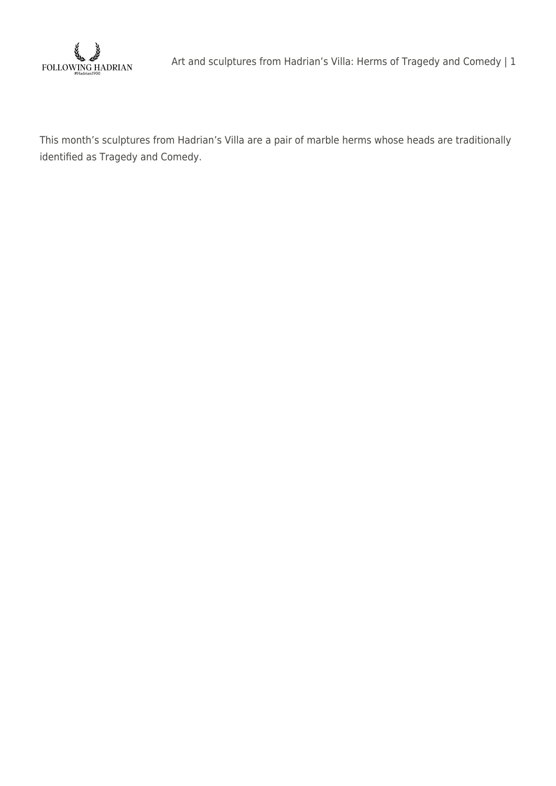

Art and sculptures from Hadrian's Villa: Herms of Tragedy and Comedy | 1

This month's sculptures from Hadrian's Villa are a pair of marble herms whose heads are traditionally identified as Tragedy and Comedy.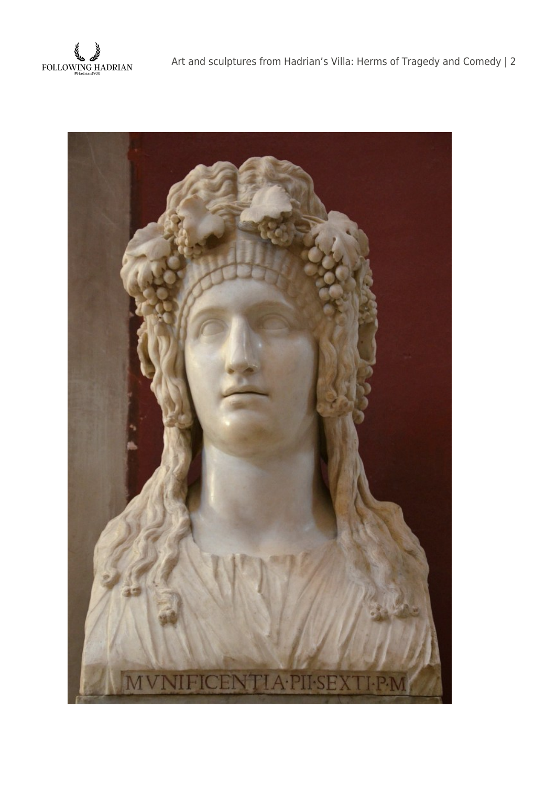

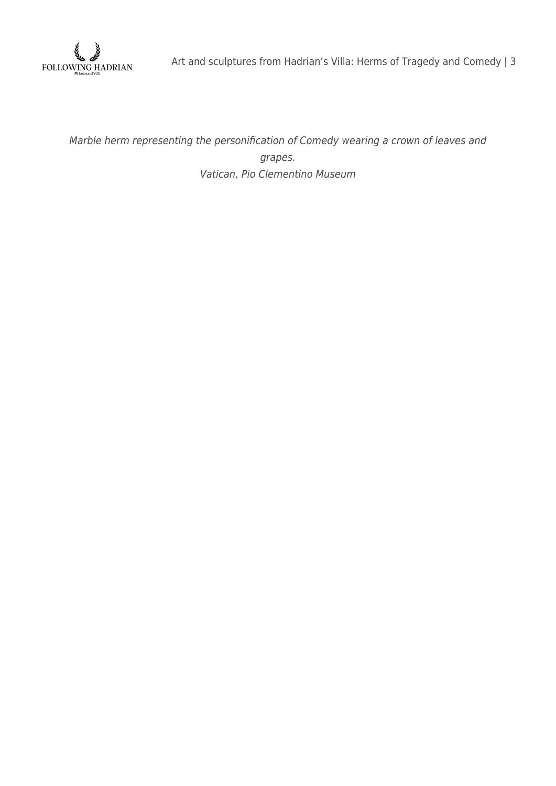

Marble herm representing the personification of Comedy wearing a crown of leaves and grapes. Vatican, Pio Clementino Museum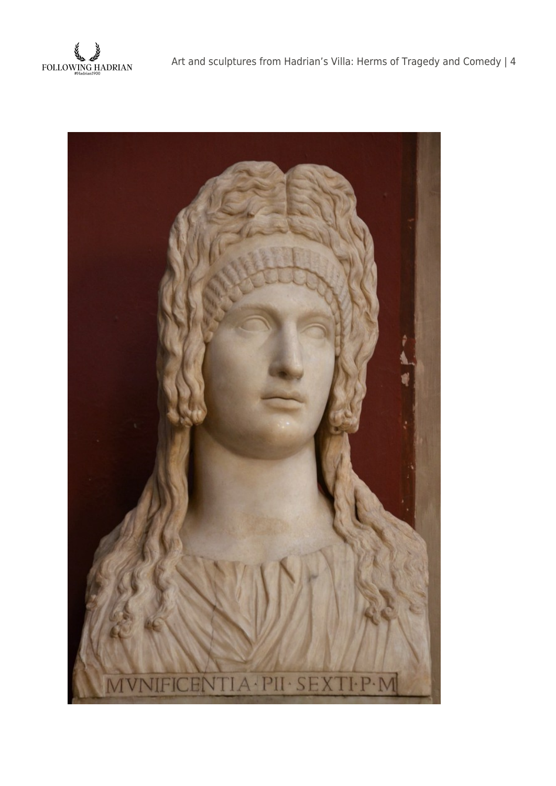

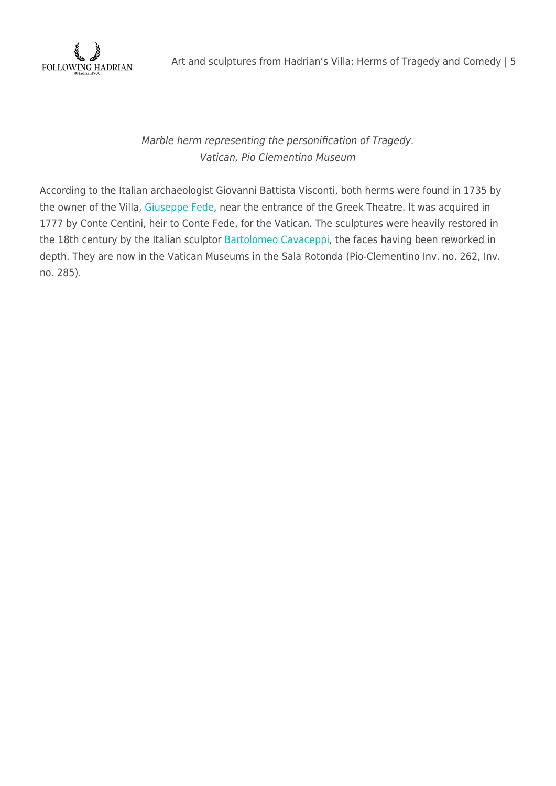

## Marble herm representing the personification of Tragedy. Vatican, Pio Clementino Museum

According to the Italian archaeologist Giovanni Battista Visconti, both herms were found in 1735 by the owner of the Villa, [Giuseppe Fede,](https://en.wikipedia.org/wiki/Giuseppe_Fede) near the entrance of the Greek Theatre. It was acquired in 1777 by Conte Centini, heir to Conte Fede, for the Vatican. The sculptures were heavily restored in the 18th century by the Italian sculptor [Bartolomeo Cavaceppi,](https://en.wikipedia.org/wiki/Bartolomeo_Cavaceppi) the faces having been reworked in depth. They are now in the Vatican Museums in the Sala Rotonda (Pio-Clementino Inv. no. 262, Inv. no. 285).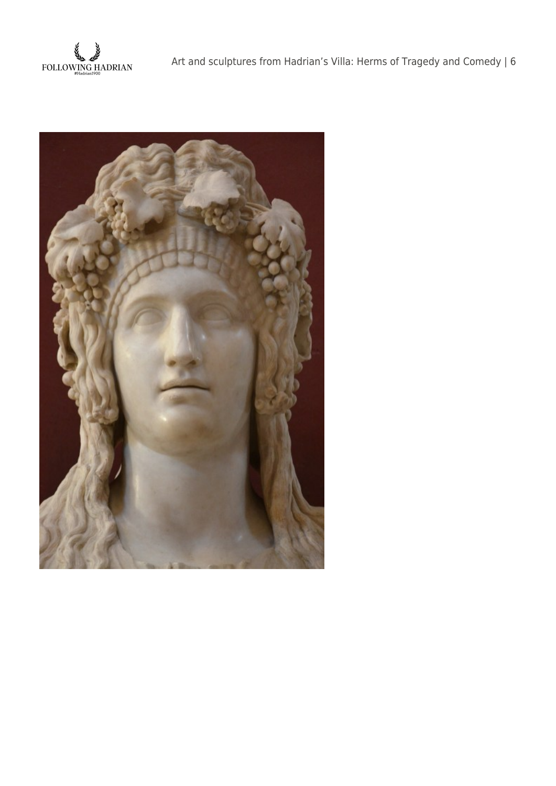

Art and sculptures from Hadrian's Villa: Herms of Tragedy and Comedy | 6

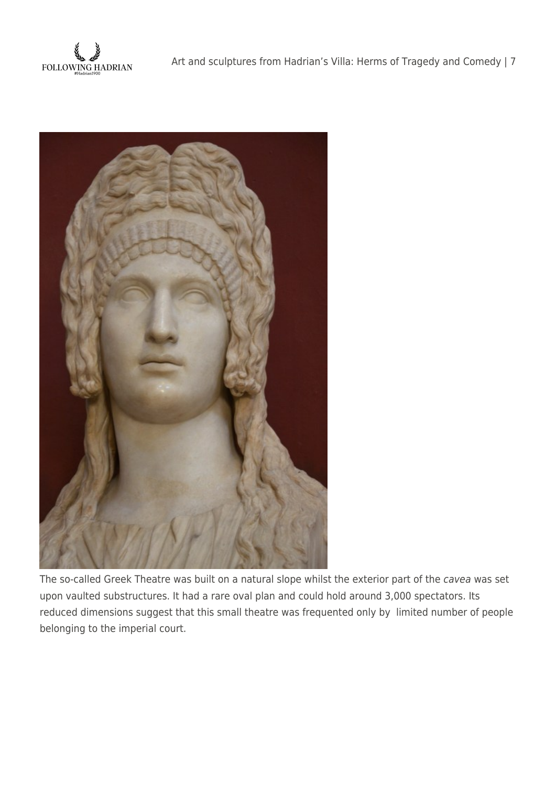



The so-called Greek Theatre was built on a natural slope whilst the exterior part of the cavea was set upon vaulted substructures. It had a rare oval plan and could hold around 3,000 spectators. Its reduced dimensions suggest that this small theatre was frequented only by limited number of people belonging to the imperial court.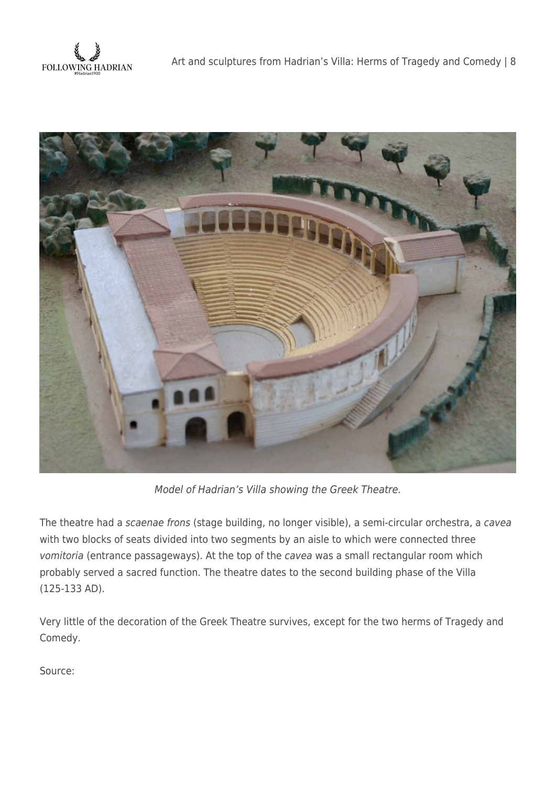FOLLOWING HADRIAN



Model of Hadrian's Villa showing the Greek Theatre.

The theatre had a scaenae frons (stage building, no longer visible), a semi-circular orchestra, a cavea with two blocks of seats divided into two segments by an aisle to which were connected three vomitoria (entrance passageways). At the top of the cavea was a small rectangular room which probably served a sacred function. The theatre dates to the second building phase of the Villa (125-133 AD).

Very little of the decoration of the Greek Theatre survives, except for the two herms of Tragedy and Comedy.

Source: